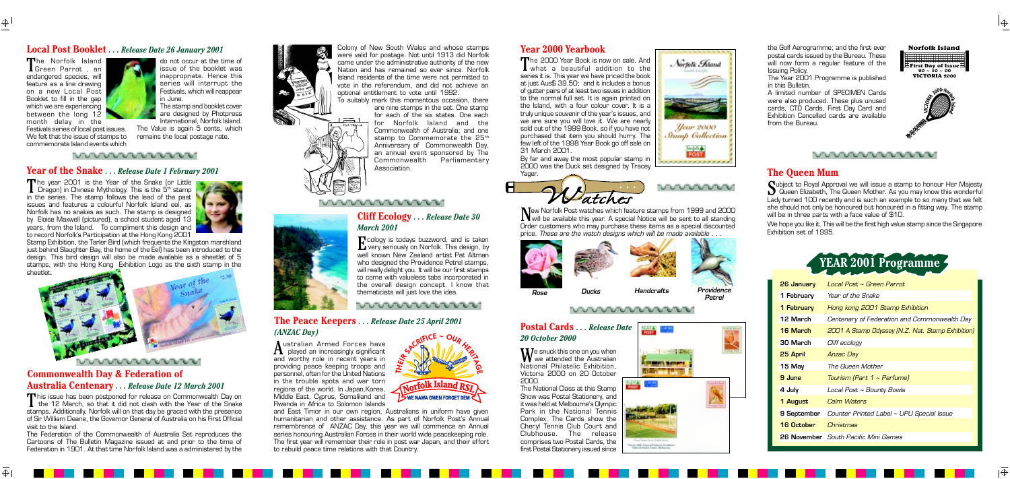#### **Local Post Booklet** *. . . Release Date 26 January 2001*

**YEAR 2001 Programme**



| 26 January        | Local Post ~ Green Parrot                                    |
|-------------------|--------------------------------------------------------------|
| 1 February        | Year of the Snake                                            |
| 1 February        | Hong kong 2001 Stamp Exhibition                              |
| 12 March          | Centenary of Federation and Commonwealth Day                 |
| 16 March          | 2001 A Stamp Odyssey (N.Z. Nat. Stamp Exhibition)            |
| 30 March          | Cliff ecology                                                |
| 25 April          | Anzac Day                                                    |
| 15 May            | The Queen Mother                                             |
| 9 June            | Tourism (Part 1 ~ Perfume)                                   |
| 4 July            | Local Post ~ Bounty Bowls                                    |
| 1 August          | <b>Calm Waters</b>                                           |
|                   | <b>9 September</b> Counter Printed Label ~ UPU Special Issue |
| <b>16 October</b> | Christmas                                                    |
|                   | <b>26 November</b> South Pacific Mini Games                  |

The Norfolk Island<br>Green Parrot, an endangered species, will feature as a line drawing on a new Local Post Booklet to fill in the gap which we are experiencing between the long 12 month delay in the

 $\oplus$ 

 $\bigoplus$ 

The year 2001 is the Year of the Snake (or Little<br>Dragon) in Chinese Mythology. This is the 5<sup>th</sup> stamp<br>in the optical The stamp follows the load of the post in the series. The stamp follows the lead of the past issues and features a colourful Norfolk Island eel, as Norfolk has no snakes as such. The stamp is designed by Eloise Maxwell (pictured), a school student aged 13 years, from the Island. To compliment this design and to record Norfolk's Participation at the Hong Kong 2001



Festivals series of local post issues. We felt that the issue of stamps to commemorate Island events which

do not occur at the time of issue of the booklet was inappropriate. Hence this series will interrupt the Festivals, which will reappear in June. The stamp and booklet cover

are designed by Photpress International, Norfolk Island.

> Australian Armed Forces have<br>played an increasingly significant<br>and worthy relation accept waves in and worthy role in recent years in providing peace keeping troops and personnel, often for the United Nations in the trouble spots and war torn regions of the world. In Japan,Korea, Middle East, Cyprus, Somaliland and Rwanda in Africa to Solomon Islands

The Value is again 5 cents, which remains the local postage rate.

#### *<u><u>UUUUUUUUUUUUU</u>*</u>

This issue has been postponed for release on Commonwealth Day on<br>the 12 March, so that it did not clash with the Year of the Snake stamps. Additionally, Norfolk will on that day be graced with the presence of Sir William Deane, the Governor General of Australia on his First Of ficial visit to the Island.

Stamp Exhibition, the Tarler Bird (which frequents the Kingston marshland just behind Slaughter Bay, the home of the Eel) has been introduced to the design. This bird design will also be made available as a sheetlet of 5 stamps, with the Hong Kong Exhibition Logo as the sixth stamp in the sheetlet.



#### **Year of the Snake** *. . . Release Date 1 February 2001*

#### **Commonwealth Day & Federation of Australia Centenary** *. . . Release Date 12 March 2001*

The 2000 Year Book is now on sale. And<br>what a beautiful addition to the<br>exist is This was also assigned the back series it is. This year we have priced the book at just Aus\$ 39.50; and it includes a bonus of gutter pairs of at least two issues in addition to the normal full set. It is again printed on the Island, with a four colour cover. It is a truly unique souvenir of the year's issues, and we are sure you will love it. We are nearly sold out of the 1999 Book, so if you have not purchased that item you should hurry. The few left of the 1998 Year Book go off sale on 31 March 2001.

By far and away the most popular stamp in 2000 was the Duck set designed by Tracey Yager





**New Norfolk Post watches which feature stamps from 1999 and 2000**<br>
Will be available this year. A special Notice will be sent to all standing Order customers who may purchase these items as a special discounted price. These are the watch designs which will be made available . . .

 $\mathbf{W}$ e snuck this one on you when<br>National Philatelia Exhibition National Philatelic Exhibition, Victoria 2000 on 20 October 2000.

and East Timor in our own region, Australians in uniform have given humanitarian and other assistance. As part of Norfolk Post's Annual remembrance of ANZAC Day, this year we will commence an Annual series honouring Australian Forces in their world wide peacekeeping role. The first year will remember their role in post war Japan, and their ef fort to rebuild peace time relations with that Country.





The Federation of the Commonwealth of Australia Set reproduces the Cartoons of The Bulletin Magazine issued at and prior to the time of Federation in 1901. At that time Norfolk Island was a administered by the

Colony of New South Wales and whose stamps were valid for postage. Not until 1913 did Norfolk came under the administrative authority of the new Nation and has remained so ever since. Norfolk Island residents of the time were not permitted to vote in the referendum, and did not achieve an optional entitlement to vote until 1992.

## **Cliff Ecology** *. . . Release Date 30 March 2001*

Ecology is todays buzzword, and is taken very seriously on Norfolk. This design, by well known New Zealand artist Pat Altman who designed the Providence Petrel stamps. will really delight you. It will be our first stamps to come with valueless tabs incorporated in the overall design concept. I know that thematicists will just love the idea.

wwwwwwwww

#### **The Peace Keepers** *. . . Release Date 25 April 2001 (ANZAC Day)*

**www.wwwww** 

## **Year 2000 Yearbook**

To suitably mark this momentous occasion, there are nine stamps in the set. One stamp for each of the six states. One each for Norfolk Island and the Commonwealth of Australia; and one stamp to Commemorate the  $25<sup>th</sup>$ Anniversary of Commonwealth Day, an annual event sponsored by The Commonwealth Parliamentary Association.

> The National Class at this Stamp Show was Postal Stationery, and it was held at Melbourne's Olympic Park in the National Tennis Complex. The Cards show the Cheryl Tennis Club Court and Clubhouse. The release comprises two Postal Cards, the first Postal Stationery issued since



**PARTIES** 



### **Postal Cards** *. . . Release Date 20 October 2000*

#### **The Queen Mum**

Subject to Royal Approval we will issue a stamp to honour Her Majesty<br>
Queen Elizabeth, The Queen Mother. As you may know this wonderful<br>
Latitives of 400 seconds and in such as a worry to the second that we fall Lady turned 100 recently and is such an example to so many that we felt she should not only be honoured but honoured in a fitting way. The stamp will be in three parts with a face value of \$10.

We hope you like it. This will be the first high value stamp since the Singapore Exhibition set of 1995.



the Golf Aerogramme; and the first ever postal cards issued by the Bureau. These will now form a regular feature of the Issuing Policy.

The Year 2001 Programme is published in this Bulletin.

A limited number of SPECIMEN Cards were also produced. These plus unused cards, CTO Cards, First Day Card and Exhibition Cancelled cards are available from the Bureau.







#### **UUUUUUUUUUU**



**Petrel**